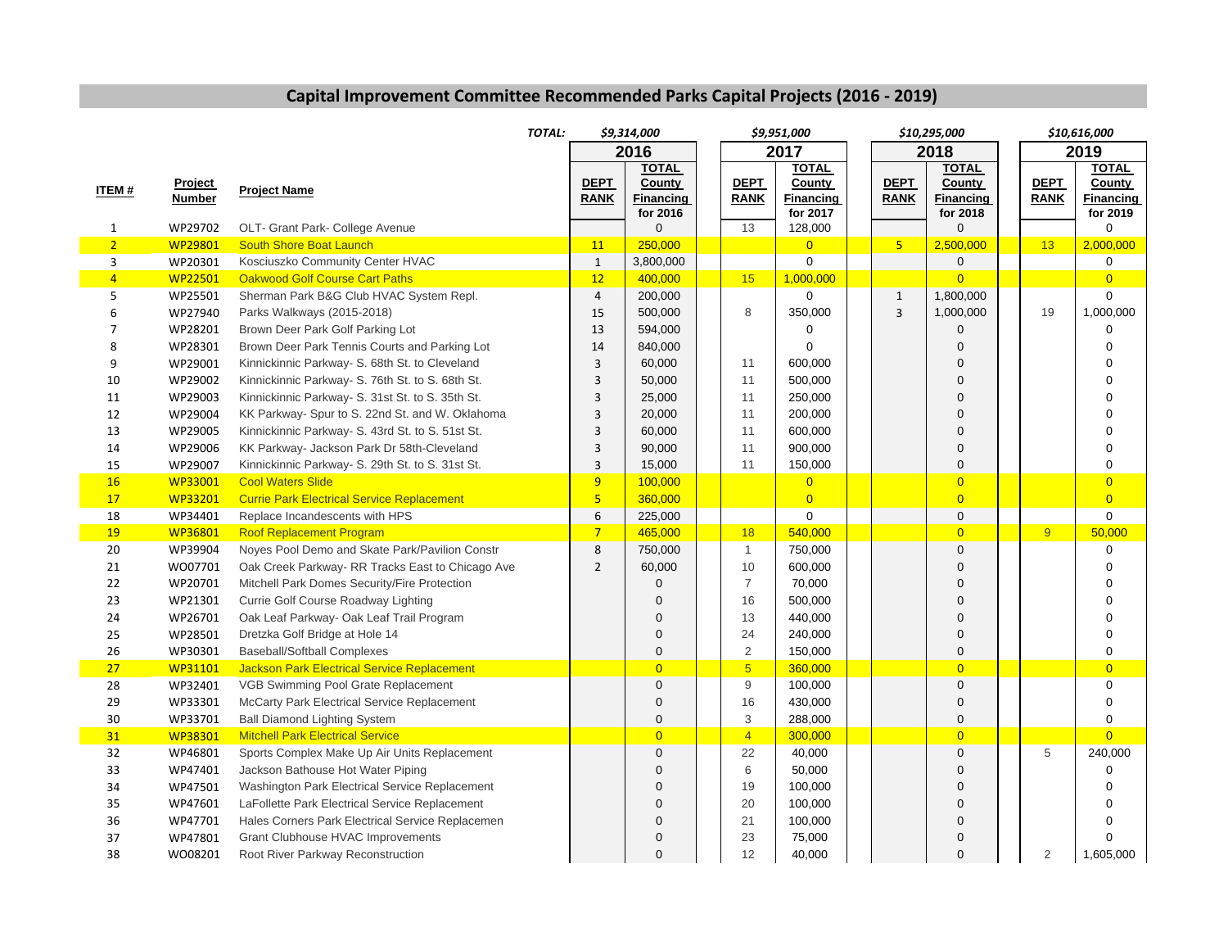## **Capital Improvement Committee Recommended Parks Capital Projects (2016 ‐ 2019)**

|                |                | TOTAL:                                             |                         | \$9,314,000           |  |                | \$9,951,000                  |  |                | \$10,295,000                 |  |                | \$10,616,000          |
|----------------|----------------|----------------------------------------------------|-------------------------|-----------------------|--|----------------|------------------------------|--|----------------|------------------------------|--|----------------|-----------------------|
|                |                |                                                    |                         | 2016                  |  |                | 2017                         |  |                | 2018                         |  |                | 2019                  |
|                |                |                                                    |                         | <b>TOTAL</b>          |  |                | <b>TOTAL</b>                 |  |                | <b>TOTAL</b>                 |  |                | <b>TOTAL</b>          |
| <b>ITEM#</b>   | <u>Project</u> | <b>Project Name</b>                                | <b>DEPT</b>             | County                |  | <b>DEPT</b>    | County                       |  | <b>DEPT</b>    | County                       |  | <b>DEPT</b>    | County                |
|                | <b>Number</b>  |                                                    | <b>RANK</b>             | Financing<br>for 2016 |  | <b>RANK</b>    | <b>Financing</b><br>for 2017 |  | <b>RANK</b>    | <b>Financing</b><br>for 2018 |  | <b>RANK</b>    | Financing<br>for 2019 |
| $\mathbf{1}$   | WP29702        | OLT- Grant Park- College Avenue                    |                         | $\mathbf 0$           |  | 13             | 128,000                      |  |                | $\Omega$                     |  |                | 0                     |
| $\overline{2}$ | WP29801        | South Shore Boat Launch                            | 11                      | 250,000               |  |                | $\overline{0}$               |  | 5 <sub>1</sub> | 2,500,000                    |  | 13             | 2,000,000             |
| 3              | WP20301        | Kosciuszko Community Center HVAC                   | $\mathbf{1}$            | 3,800,000             |  |                | 0                            |  |                | $\mathbf 0$                  |  |                | 0                     |
| $\overline{4}$ | <b>WP22501</b> | <b>Oakwood Golf Course Cart Paths</b>              | 12                      | 400,000               |  | 15             | 1,000,000                    |  |                | $\Omega$                     |  |                | $\overline{0}$        |
| 5              | WP25501        | Sherman Park B&G Club HVAC System Repl.            | $\overline{4}$          | 200,000               |  |                | $\Omega$                     |  | $\mathbf{1}$   | 1,800,000                    |  |                | $\Omega$              |
| 6              | WP27940        | Parks Walkways (2015-2018)                         | 15                      | 500,000               |  | 8              | 350,000                      |  | $\overline{3}$ | 1,000,000                    |  | 19             | 1,000,000             |
| 7              | WP28201        | Brown Deer Park Golf Parking Lot                   | 13                      | 594,000               |  |                | $\Omega$                     |  |                | $\Omega$                     |  |                | $\Omega$              |
| 8              | WP28301        | Brown Deer Park Tennis Courts and Parking Lot      | 14                      | 840,000               |  |                | $\Omega$                     |  |                | $\Omega$                     |  |                | $\Omega$              |
| 9              | WP29001        | Kinnickinnic Parkway- S. 68th St. to Cleveland     | 3                       | 60,000                |  | 11             | 600,000                      |  |                | $\mathbf 0$                  |  |                | $\Omega$              |
| 10             | WP29002        | Kinnickinnic Parkway- S. 76th St. to S. 68th St.   | 3                       | 50,000                |  | 11             | 500,000                      |  |                | $\Omega$                     |  |                | $\Omega$              |
| 11             | WP29003        | Kinnickinnic Parkway- S. 31st St. to S. 35th St.   | 3                       | 25,000                |  | 11             | 250,000                      |  |                | $\overline{0}$               |  |                | $\Omega$              |
| 12             | WP29004        | KK Parkway- Spur to S. 22nd St. and W. Oklahoma    | 3                       | 20,000                |  | 11             | 200,000                      |  |                | $\overline{0}$               |  |                | $\Omega$              |
| 13             | WP29005        | Kinnickinnic Parkway- S. 43rd St. to S. 51st St.   | $\overline{3}$          | 60,000                |  | 11             | 600,000                      |  |                | $\overline{0}$               |  |                | $\Omega$              |
| 14             | WP29006        | KK Parkway- Jackson Park Dr 58th-Cleveland         | 3                       | 90,000                |  | 11             | 900,000                      |  |                | $\mathbf 0$                  |  |                | $\Omega$              |
| 15             | WP29007        | Kinnickinnic Parkway- S. 29th St. to S. 31st St.   | 3                       | 15,000                |  | 11             | 150,000                      |  |                | $\mathbf 0$                  |  |                | $\overline{0}$        |
| 16             | WP33001        | <b>Cool Waters Slide</b>                           | 9                       | 100,000               |  |                | $\overline{0}$               |  |                | $\overline{0}$               |  |                | $\overline{0}$        |
| 17             | WP33201        | <b>Currie Park Electrical Service Replacement</b>  | $\overline{\mathbf{5}}$ | 360,000               |  |                | $\overline{0}$               |  |                | $\overline{0}$               |  |                | $\overline{0}$        |
| 18             | WP34401        | Replace Incandescents with HPS                     | 6                       | 225,000               |  |                | $\Omega$                     |  |                | $\mathbf 0$                  |  |                | $\Omega$              |
| 19             | <b>WP36801</b> | <b>Roof Replacement Program</b>                    | $\overline{7}$          | 465,000               |  | 18             | 540,000                      |  |                | $\overline{0}$               |  | 9              | 50,000                |
| 20             | WP39904        | Noyes Pool Demo and Skate Park/Pavilion Constr     | 8                       | 750,000               |  | $\mathbf{1}$   | 750,000                      |  |                | $\mathbf 0$                  |  |                | 0                     |
| 21             | WO07701        | Oak Creek Parkway- RR Tracks East to Chicago Ave   | $\overline{2}$          | 60,000                |  | 10             | 600,000                      |  |                | $\overline{0}$               |  |                | $\Omega$              |
| 22             | WP20701        | Mitchell Park Domes Security/Fire Protection       |                         | $\Omega$              |  | $\overline{7}$ | 70,000                       |  |                | $\overline{0}$               |  |                | $\Omega$              |
| 23             | WP21301        | Currie Golf Course Roadway Lighting                |                         | $\Omega$              |  | 16             | 500,000                      |  |                | $\overline{0}$               |  |                | $\Omega$              |
| 24             | WP26701        | Oak Leaf Parkway- Oak Leaf Trail Program           |                         | $\Omega$              |  | 13             | 440,000                      |  |                | $\overline{0}$               |  |                | $\Omega$              |
| 25             | WP28501        | Dretzka Golf Bridge at Hole 14                     |                         | $\mathbf 0$           |  | 24             | 240,000                      |  |                | $\mathbf 0$                  |  |                | $\overline{0}$        |
| 26             | WP30301        | <b>Baseball/Softball Complexes</b>                 |                         | $\mathbf 0$           |  | $\overline{2}$ | 150,000                      |  |                | $\mathbf 0$                  |  |                | 0                     |
| 27             | WP31101        | <b>Jackson Park Electrical Service Replacement</b> |                         | $\overline{0}$        |  | $\overline{5}$ | 360,000                      |  |                | $\overline{0}$               |  |                | $\overline{0}$        |
| 28             | WP32401        | VGB Swimming Pool Grate Replacement                |                         | $\overline{0}$        |  | 9              | 100,000                      |  |                | $\mathbf 0$                  |  |                | 0                     |
| 29             | WP33301        | McCarty Park Electrical Service Replacement        |                         | $\overline{0}$        |  | 16             | 430,000                      |  |                | $\overline{0}$               |  |                | $\Omega$              |
| $30\,$         | WP33701        | <b>Ball Diamond Lighting System</b>                |                         | $\pmb{0}$             |  | 3              | 288,000                      |  |                | $\mathbf 0$                  |  |                | $\mathsf 0$           |
| 31             | <b>WP38301</b> | <b>Mitchell Park Electrical Service</b>            |                         | $\overline{0}$        |  | $\overline{4}$ | 300,000                      |  |                | $\overline{0}$               |  |                | $\overline{0}$        |
| 32             | WP46801        | Sports Complex Make Up Air Units Replacement       |                         | $\overline{0}$        |  | 22             | 40,000                       |  |                | $\overline{0}$               |  | 5              | 240,000               |
| 33             | WP47401        | Jackson Bathouse Hot Water Piping                  |                         | $\Omega$              |  | 6              | 50,000                       |  |                | $\Omega$                     |  |                | $\Omega$              |
| 34             | WP47501        | Washington Park Electrical Service Replacement     |                         | $\Omega$              |  | 19             | 100,000                      |  |                | $\mathbf 0$                  |  |                | $\Omega$              |
| 35             | WP47601        | LaFollette Park Electrical Service Replacement     |                         | $\Omega$              |  | 20             | 100,000                      |  |                | $\mathbf 0$                  |  |                | $\Omega$              |
| 36             | WP47701        | Hales Corners Park Electrical Service Replacemen   |                         | $\Omega$              |  | 21             | 100,000                      |  |                | $\mathbf 0$                  |  |                | $\Omega$              |
| 37             | WP47801        | <b>Grant Clubhouse HVAC Improvements</b>           |                         | $\Omega$              |  | 23             | 75,000                       |  |                | $\mathbf 0$                  |  |                | $\Omega$              |
| 38             | WO08201        | Root River Parkway Reconstruction                  |                         | $\Omega$              |  | 12             | 40,000                       |  |                | $\Omega$                     |  | $\overline{2}$ | 1,605,000             |